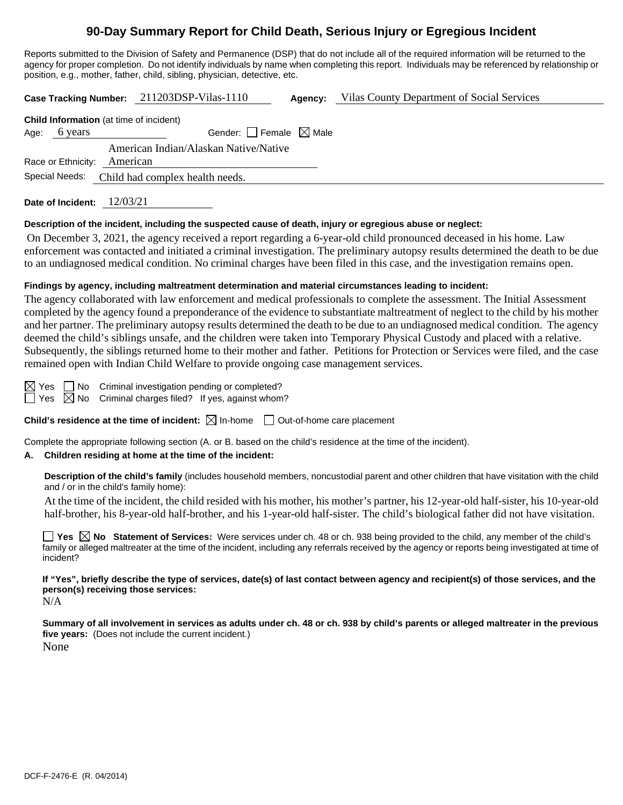# **90-Day Summary Report for Child Death, Serious Injury or Egregious Incident**

Reports submitted to the Division of Safety and Permanence (DSP) that do not include all of the required information will be returned to the agency for proper completion. Do not identify individuals by name when completing this report. Individuals may be referenced by relationship or position, e.g., mother, father, child, sibling, physician, detective, etc.

|                                                |                                 | Case Tracking Number: 211203DSP-Vilas-1110 | Agency: | Vilas County Department of Social Services |  |
|------------------------------------------------|---------------------------------|--------------------------------------------|---------|--------------------------------------------|--|
| <b>Child Information</b> (at time of incident) |                                 |                                            |         |                                            |  |
| Age: 6 years                                   |                                 | Gender: Female $\boxtimes$ Male            |         |                                            |  |
| Race or Ethnicity:                             | American                        | American Indian/Alaskan Native/Native      |         |                                            |  |
| Special Needs:                                 | Child had complex health needs. |                                            |         |                                            |  |
| Date of Incident: $12/03/21$                   |                                 |                                            |         |                                            |  |

#### **Description of the incident, including the suspected cause of death, injury or egregious abuse or neglect:**

On December 3, 2021, the agency received a report regarding a 6-year-old child pronounced deceased in his home. Law enforcement was contacted and initiated a criminal investigation. The preliminary autopsy results determined the death to be due to an undiagnosed medical condition. No criminal charges have been filed in this case, and the investigation remains open.

#### **Findings by agency, including maltreatment determination and material circumstances leading to incident:**

The agency collaborated with law enforcement and medical professionals to complete the assessment. The Initial Assessment completed by the agency found a preponderance of the evidence to substantiate maltreatment of neglect to the child by his mother and her partner. The preliminary autopsy results determined the death to be due to an undiagnosed medical condition. The agency deemed the child's siblings unsafe, and the children were taken into Temporary Physical Custody and placed with a relative. Subsequently, the siblings returned home to their mother and father. Petitions for Protection or Services were filed, and the case remained open with Indian Child Welfare to provide ongoing case management services.

 $\boxtimes$  Yes  $\Box$  No Criminal investigation pending or completed?

 $\Box$  Yes  $\boxtimes$  No Criminal charges filed? If yes, against whom?

**Child's residence at the time of incident:**  $\boxtimes$  In-home  $\Box$  Out-of-home care placement

Complete the appropriate following section (A. or B. based on the child's residence at the time of the incident).

#### **A. Children residing at home at the time of the incident:**

**Description of the child's family** (includes household members, noncustodial parent and other children that have visitation with the child and / or in the child's family home):

At the time of the incident, the child resided with his mother, his mother's partner, his 12-year-old half-sister, his 10-year-old half-brother, his 8-year-old half-brother, and his 1-year-old half-sister. The child's biological father did not have visitation.

**Yes No Statement of Services:** Were services under ch. 48 or ch. 938 being provided to the child, any member of the child's family or alleged maltreater at the time of the incident, including any referrals received by the agency or reports being investigated at time of incident?

**If "Yes", briefly describe the type of services, date(s) of last contact between agency and recipient(s) of those services, and the person(s) receiving those services:**  $N/A$ 

**Summary of all involvement in services as adults under ch. 48 or ch. 938 by child's parents or alleged maltreater in the previous five years:** (Does not include the current incident.) None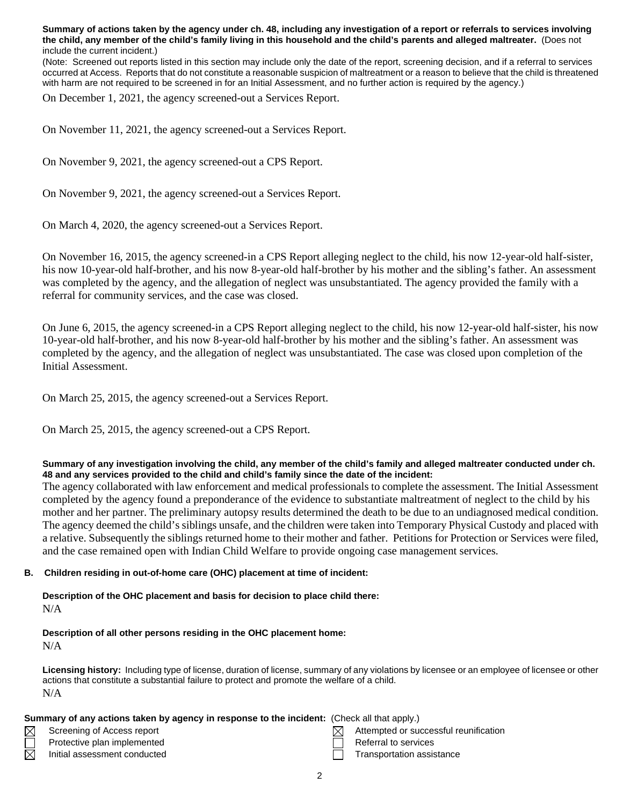**Summary of actions taken by the agency under ch. 48, including any investigation of a report or referrals to services involving the child, any member of the child's family living in this household and the child's parents and alleged maltreater.** (Does not include the current incident.)

(Note: Screened out reports listed in this section may include only the date of the report, screening decision, and if a referral to services occurred at Access. Reports that do not constitute a reasonable suspicion of maltreatment or a reason to believe that the child is threatened with harm are not required to be screened in for an Initial Assessment, and no further action is required by the agency.)

On December 1, 2021, the agency screened-out a Services Report.

On November 11, 2021, the agency screened-out a Services Report.

On November 9, 2021, the agency screened-out a CPS Report.

On November 9, 2021, the agency screened-out a Services Report.

On March 4, 2020, the agency screened-out a Services Report.

On November 16, 2015, the agency screened-in a CPS Report alleging neglect to the child, his now 12-year-old half-sister, his now 10-year-old half-brother, and his now 8-year-old half-brother by his mother and the sibling's father. An assessment was completed by the agency, and the allegation of neglect was unsubstantiated. The agency provided the family with a referral for community services, and the case was closed.

On June 6, 2015, the agency screened-in a CPS Report alleging neglect to the child, his now 12-year-old half-sister, his now 10-year-old half-brother, and his now 8-year-old half-brother by his mother and the sibling's father. An assessment was completed by the agency, and the allegation of neglect was unsubstantiated. The case was closed upon completion of the Initial Assessment.

On March 25, 2015, the agency screened-out a Services Report.

On March 25, 2015, the agency screened-out a CPS Report.

#### **Summary of any investigation involving the child, any member of the child's family and alleged maltreater conducted under ch. 48 and any services provided to the child and child's family since the date of the incident:**

The agency collaborated with law enforcement and medical professionals to complete the assessment. The Initial Assessment completed by the agency found a preponderance of the evidence to substantiate maltreatment of neglect to the child by his mother and her partner. The preliminary autopsy results determined the death to be due to an undiagnosed medical condition. The agency deemed the child's siblings unsafe, and the children were taken into Temporary Physical Custody and placed with a relative. Subsequently the siblings returned home to their mother and father. Petitions for Protection or Services were filed, and the case remained open with Indian Child Welfare to provide ongoing case management services.

#### **B. Children residing in out-of-home care (OHC) placement at time of incident:**

**Description of the OHC placement and basis for decision to place child there:** N/A

## **Description of all other persons residing in the OHC placement home:**

N/A

 $\boxtimes$ 

 $\boxtimes$ 

**Licensing history:** Including type of license, duration of license, summary of any violations by licensee or an employee of licensee or other actions that constitute a substantial failure to protect and promote the welfare of a child. N/A

#### **Summary of any actions taken by agency in response to the incident:** (Check all that apply.)

- 
- Protective plan implemented and Referral to services
- 
- Screening of Access report  $\boxtimes$  Attempted or successful reunification
	-
- Initial assessment conducted **Transportation assistance** Transportation assistance